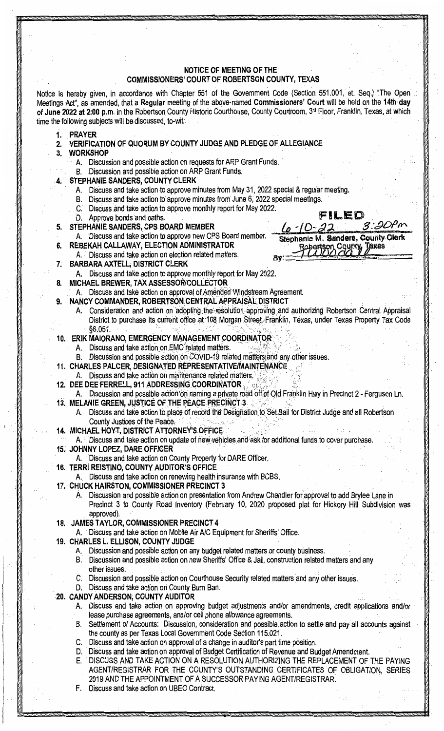# **NOTICE OF MEETING OF THE COMMISSIONERS' COURT OF ROBERTSON COUNTY, TEXAS**

Notice is hereby given, in accordance with Chapter 551 of the Government Code (Section 551.001, et. Seq.) "The Open Meetings Act", as amended, that a **Regular** meeting of the above-named **Commissioners' Court** will be held on the **14th day of June 2022 at 2:00 p.m.** in the Robertson County Historic Courthouse, County Courtroom, 3rd Floor, Franklin, Texas, at which time the following subjects will be.discussed, to-wit:.

- **1. PRAYER.**
- **2. VERIFICATION OF QUORUM BY COUNTY JUDGE AND PLEDGE OF ALLEGIANCE**
- **3. WORKSHOP** 
	- A. Discussion and possible action on requests for ARP Grant Funds.
	- B. Discussion and possible action on ARP Grant Funds.
	- **. 4;. STEPHANIE SANDERS, COUNTY CLERK** 
		- A. Discuss and take action to approve minutes from May 31, 2022 special & regular meeting.
		- B. Discuss and take action to approve minutes from June 6, 2022 special meetings.
		- . C. Discuss .and take action to approve monthly report for May 2022.
		- D. Approve bonds and oaths.
- **STEPHANIE SANDERS, CPS BOARD MEMBER**
- A. Discuss and take action to approve new CPS Board member. **6. REBEKAH CALLAWAY, ELECTION ADMINISTRATOR**
- A. Discuss and take action on election related matters. · **7; BARBARA AXTELL; DISTRICT CLERK** 
	- A. Discuss and take action to approve monthly report for May 2022.
- **8. MiCHAEL BREWER, TAX ASSESSOR/COLLECTOR** 
	- Discuss and take action on approval of Amended Windstream Agreement.
	- **NANCY COMMANDER, ROBERTSON CENTRAL APPRAISAL DISTRICT** 
		- A. Consideration and action on adopting-the resolution-approving and authorizing Robertson Central Appraisal District to purchase its current office at 108 Morgan Street; Franklin, Texas, under Texas Property Tax Code . §6.051.

': . ' ·; '; :;'.

#### 10. ERIK MAIORANO, EMERGENCY MANAGEMENT COORDINATOR:

- A. Discuss and take action on EMC related matters.
- B. Discussion and possible action on COVID-19 related matters and any other issues.
- **11. CHARLES PALCER, DESIGNATED REPRESENTATIVE/MAINTENANCE.**
- A. Discuss and take action on maintenance related matters.
- **12. DEE DEE FERRELL, 911 ADDRESSING COORDINATOR**
- A. Discussion and possible action on naming a private road off of Old Franklin Hwy in Precinct 2 Ferguson Ln. **13. MELANIE GREEN, JUSTICE OF THE PEACE PRECINCT 3.** 
	- A. Discuss and take action to place of record the Designation to Set Bail for District Judge and all Robertson County Justices of the Peace.
- 14. MICHAEL HOYT, DISTRICT ATTORNEY'S OFFICE-

A. : Discuss and take action on update of new vehicles and ask for additional funds to cover purchase.

- **15. JOHNNY LOPEZ, DARE OFFICER**
- Discuss and take action on County Property for DARE Officer.
- **16. TERRI REISTINO, COUNTY AUDITOR'S OFFICE** 
	- A. Discuss and take action on renewing health insurance with BCBS.
- **17. CHUCK HAIRSTON, COMMISSIONER PRECINCT 3** 
	- A. Discussion and possible action on presentation from Andrew Chandler for approval to add Brylee Lane in Precinct 3 to County Road Inventory (February 10, 2020 proposed plat for Hickory Hill Subdivision was approved).
- **18. JAMES TAYLOR, COMMISSIONER PRECINCT 4**

A. · Discuss and take action on Mobile Air A/C Equipment for Sheriffs' Office.

- **19. CHARLES L. ELLISON, COUNTY JUDGE** 
	- A. Discussion and possible action on any budget related matters or county business.
	- B. Discussion and possible action on new Sheriffs' Office & Jail, construction related matters and any other issues.
	- C. Discussion and possible action on Courthouse Security related matters and any other issues.
	- D. Discuss and take action on County Burn Ban.

#### **20. CANDYANDERSON; COUNTY AUDITOR**

- A. Discuss and take action on approving budget adjustments and/or amendments, credit applications and/or lease purchase agreements, and/or cell phone allowance agreements.
- B. Settlement of Accounts: Discussion, consideration and possible. action to settle and pay all accounts against the county as per Texas Local Government Code Section 115.021.
- C. Discuss and take action on approval of a change in auditor's part time position.
- D. · Discuss and take action on approval of Budget Certification of Revenue and Budget Amendment.
- E. DISCUSS AND TAKE ACTION ON A RESOLUTION AUTHORIZING THE REPLACEMENT OF THE PAYING AGENT/REGISTRAR FOR THE COUNTY'S OUTSTANDING CERTIFICATES OF OBLIGATION, SERIES 2019 AND THE APPOINTMENT OF A SUCCESSOR PAYING AGENT/REGISTRAR.
- F. Discuss and take action on UBEO Contract.

FILED  $3.90$ m  $6 - 10 - 22$ Stephanie M. Sanders, County Clerk Robertson County Toxas